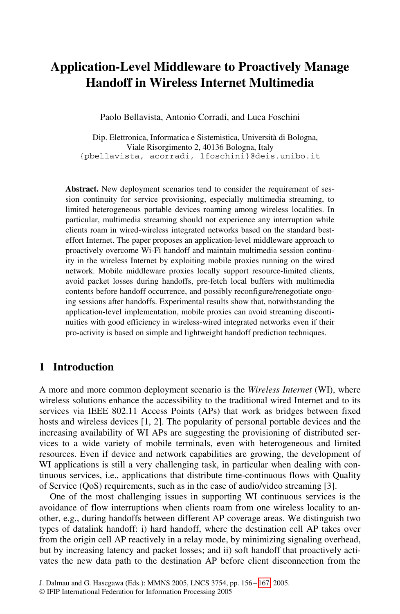# **Application-Level Middleware to Proactively Manage Handoff in Wireless Internet Multimedia**

Paolo Bellavista, Antonio Corradi, and Luca Foschini

Dip. Elettronica, Informatica e Sistemistica, Università di Bologna, Viale Risorgimento 2, 40136 Bologna, Italy {pbellavista, acorradi, lfoschini}@deis.unibo.it

**Abstract.** New deployment scenarios tend to consider the requirement of session continuity for service provisioning, especially multimedia streaming, to limited heterogeneous portable devices roaming among wireless localities. In particular, multimedia streaming should not experience any interruption while clients roam in wired-wireless integrated networks based on the standard besteffort Internet. The paper proposes an application-level middleware approach to proactively overcome Wi-Fi handoff and maintain multimedia session continuity in the wireless Internet by exploiting mobile proxies running on the wired network. Mobile middleware proxies locally support resource-limited clients, avoid packet losses during handoffs, pre-fetch local buffers with multimedia contents before handoff occurrence, and possibly reconfigure/renegotiate ongoing sessions after handoffs. Experimental results show that, notwithstanding the application-level implementation, mobile proxies can avoid streaming discontinuities with good efficiency in wireless-wired integrated networks even if their pro-activity is based on simple and lightweight handoff prediction techniques.

# **1 Introduction**

A more and more common deployment scenario is the *Wireless Internet* (WI), where wireless solutions enhance the accessibility to the traditional wired Internet and to its services via IEEE 802.11 Access Points (APs) that work as bridges between fixed hosts and wireless devices [1, 2]. The popularity of personal portable devices and the increasing availability of WI APs are suggesting the provisioning of distributed services to a wide variety of mobile terminals, even with heterogeneous and limited resources. Even if device and network capabilities are growing, the development of WI applications is still a very challenging task, in particular when dealing with continuous services, i.e., applications that distribute time-continuous flows with Quality of Service (QoS) requirements, such as in the case of audio/video streaming [3].

One of the most challenging issues in supporting WI continuous services is the avoidance of flow interruptions whe[n cli](#page-11-0)ents roam from one wireless locality to another, e.g., during handoffs between different AP coverage areas. We distinguish two types of datalink handoff: i) hard handoff, where the destination cell AP takes over from the origin cell AP reactively in a relay mode, by minimizing signaling overhead, but by increasing latency and packet losses; and ii) soft handoff that proactively activates the new data path to the destination AP before client disconnection from the

J. Dalmau and G. Hasegawa (Eds.): MMNS 2005, LNCS 3754, pp. 156 – 167, 2005.

<sup>©</sup> IFIP International Federation for Information Processing 2005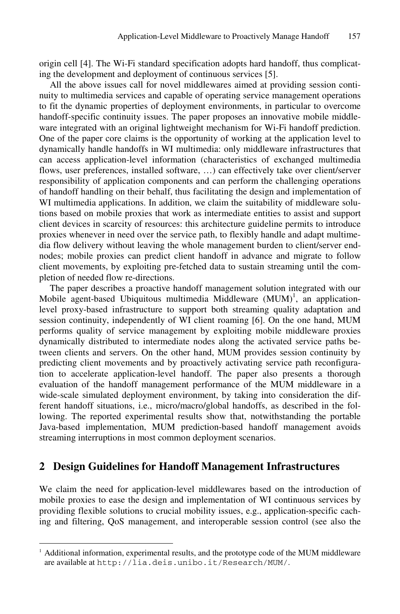origin cell [4]. The Wi-Fi standard specification adopts hard handoff, thus complicating the development and deployment of continuous services [5].

All the above issues call for novel middlewares aimed at providing session continuity to multimedia services and capable of operating service management operations to fit the dynamic properties of deployment environments, in particular to overcome handoff-specific continuity issues. The paper proposes an innovative mobile middleware integrated with an original lightweight mechanism for Wi-Fi handoff prediction. One of the paper core claims is the opportunity of working at the application level to dynamically handle handoffs in WI multimedia: only middleware infrastructures that can access application-level information (characteristics of exchanged multimedia flows, user preferences, installed software, …) can effectively take over client/server responsibility of application components and can perform the challenging operations of handoff handling on their behalf, thus facilitating the design and implementation of WI multimedia applications. In addition, we claim the suitability of middleware solutions based on mobile proxies that work as intermediate entities to assist and support client devices in scarcity of resources: this architecture guideline permits to introduce proxies whenever in need over the service path, to flexibly handle and adapt multimedia flow delivery without leaving the whole management burden to client/server endnodes; mobile proxies can predict client handoff in advance and migrate to follow client movements, by exploiting pre-fetched data to sustain streaming until the completion of needed flow re-directions.

The paper describes a proactive handoff management solution integrated with our Mobile agent-based Ubiquitous multimedia Middleware  $(MUM)^1$ , an applicationlevel proxy-based infrastructure to support both streaming quality adaptation and session continuity, independently of WI client roaming [6]. On the one hand, MUM performs quality of service management by exploiting mobile middleware proxies dynamically distributed to intermediate nodes along the activated service paths between clients and servers. On the other hand, MUM provides session continuity by predicting client movements and by proactively activating service path reconfiguration to accelerate application-level handoff. The paper also presents a thorough evaluation of the handoff management performance of the MUM middleware in a wide-scale simulated deployment environment, by taking into consideration the different handoff situations, i.e., micro/macro/global handoffs, as described in the following. The reported experimental results show that, notwithstanding the portable Java-based implementation, MUM prediction-based handoff management avoids streaming interruptions in most common deployment scenarios.

# **2 Design Guidelines for Handoff Management Infrastructures**

We claim the need for application-level middlewares based on the introduction of mobile proxies to ease the design and implementation of WI continuous services by providing flexible solutions to crucial mobility issues, e.g., application-specific caching and filtering, QoS management, and interoperable session control (see also the

-

<sup>&</sup>lt;sup>1</sup> Additional information, experimental results, and the prototype code of the MUM middleware are available at http://lia.deis.unibo.it/Research/MUM/.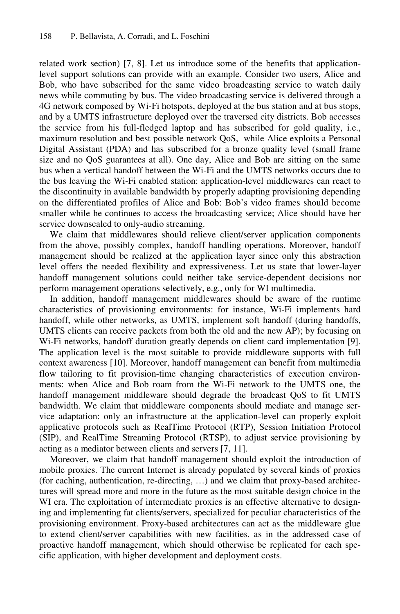related work section) [7, 8]. Let us introduce some of the benefits that applicationlevel support solutions can provide with an example. Consider two users, Alice and Bob, who have subscribed for the same video broadcasting service to watch daily news while commuting by bus. The video broadcasting service is delivered through a 4G network composed by Wi-Fi hotspots, deployed at the bus station and at bus stops, and by a UMTS infrastructure deployed over the traversed city districts. Bob accesses the service from his full-fledged laptop and has subscribed for gold quality, i.e., maximum resolution and best possible network QoS, while Alice exploits a Personal Digital Assistant (PDA) and has subscribed for a bronze quality level (small frame size and no QoS guarantees at all). One day, Alice and Bob are sitting on the same bus when a vertical handoff between the Wi-Fi and the UMTS networks occurs due to the bus leaving the Wi-Fi enabled station: application-level middlewares can react to the discontinuity in available bandwidth by properly adapting provisioning depending on the differentiated profiles of Alice and Bob: Bob's video frames should become smaller while he continues to access the broadcasting service; Alice should have her service downscaled to only-audio streaming.

We claim that middlewares should relieve client/server application components from the above, possibly complex, handoff handling operations. Moreover, handoff management should be realized at the application layer since only this abstraction level offers the needed flexibility and expressiveness. Let us state that lower-layer handoff management solutions could neither take service-dependent decisions nor perform management operations selectively, e.g., only for WI multimedia.

In addition, handoff management middlewares should be aware of the runtime characteristics of provisioning environments: for instance, Wi-Fi implements hard handoff, while other networks, as UMTS, implement soft handoff (during handoffs, UMTS clients can receive packets from both the old and the new AP); by focusing on Wi-Fi networks, handoff duration greatly depends on client card implementation [9]. The application level is the most suitable to provide middleware supports with full context awareness [10]. Moreover, handoff management can benefit from multimedia flow tailoring to fit provision-time changing characteristics of execution environments: when Alice and Bob roam from the Wi-Fi network to the UMTS one, the handoff management middleware should degrade the broadcast QoS to fit UMTS bandwidth. We claim that middleware components should mediate and manage service adaptation: only an infrastructure at the application-level can properly exploit applicative protocols such as RealTime Protocol (RTP), Session Initiation Protocol (SIP), and RealTime Streaming Protocol (RTSP), to adjust service provisioning by acting as a mediator between clients and servers [7, 11].

Moreover, we claim that handoff management should exploit the introduction of mobile proxies. The current Internet is already populated by several kinds of proxies (for caching, authentication, re-directing, …) and we claim that proxy-based architectures will spread more and more in the future as the most suitable design choice in the WI era. The exploitation of intermediate proxies is an effective alternative to designing and implementing fat clients/servers, specialized for peculiar characteristics of the provisioning environment. Proxy-based architectures can act as the middleware glue to extend client/server capabilities with new facilities, as in the addressed case of proactive handoff management, which should otherwise be replicated for each specific application, with higher development and deployment costs.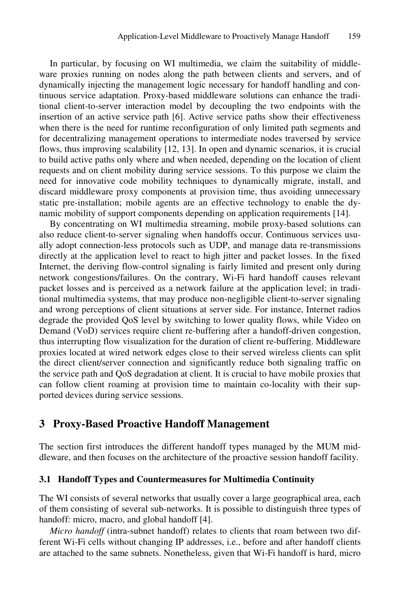In particular, by focusing on WI multimedia, we claim the suitability of middleware proxies running on nodes along the path between clients and servers, and of dynamically injecting the management logic necessary for handoff handling and continuous service adaptation. Proxy-based middleware solutions can enhance the traditional client-to-server interaction model by decoupling the two endpoints with the insertion of an active service path [6]. Active service paths show their effectiveness when there is the need for runtime reconfiguration of only limited path segments and for decentralizing management operations to intermediate nodes traversed by service flows, thus improving scalability [12, 13]. In open and dynamic scenarios, it is crucial to build active paths only where and when needed, depending on the location of client requests and on client mobility during service sessions. To this purpose we claim the need for innovative code mobility techniques to dynamically migrate, install, and discard middleware proxy components at provision time, thus avoiding unnecessary static pre-installation; mobile agents are an effective technology to enable the dynamic mobility of support components depending on application requirements [14].

By concentrating on WI multimedia streaming, mobile proxy-based solutions can also reduce client-to-server signaling when handoffs occur. Continuous services usually adopt connection-less protocols such as UDP, and manage data re-transmissions directly at the application level to react to high jitter and packet losses. In the fixed Internet, the deriving flow-control signaling is fairly limited and present only during network congestions/failures. On the contrary, Wi-Fi hard handoff causes relevant packet losses and is perceived as a network failure at the application level; in traditional multimedia systems, that may produce non-negligible client-to-server signaling and wrong perceptions of client situations at server side. For instance, Internet radios degrade the provided QoS level by switching to lower quality flows, while Video on Demand (VoD) services require client re-buffering after a handoff-driven congestion, thus interrupting flow visualization for the duration of client re-buffering. Middleware proxies located at wired network edges close to their served wireless clients can split the direct client/server connection and significantly reduce both signaling traffic on the service path and QoS degradation at client. It is crucial to have mobile proxies that can follow client roaming at provision time to maintain co-locality with their supported devices during service sessions.

# **3 Proxy-Based Proactive Handoff Management**

The section first introduces the different handoff types managed by the MUM middleware, and then focuses on the architecture of the proactive session handoff facility.

#### **3.1 Handoff Types and Countermeasures for Multimedia Continuity**

The WI consists of several networks that usually cover a large geographical area, each of them consisting of several sub-networks. It is possible to distinguish three types of handoff: micro, macro, and global handoff [4].

*Micro handoff* (intra-subnet handoff) relates to clients that roam between two different Wi-Fi cells without changing IP addresses, i.e., before and after handoff clients are attached to the same subnets. Nonetheless, given that Wi-Fi handoff is hard, micro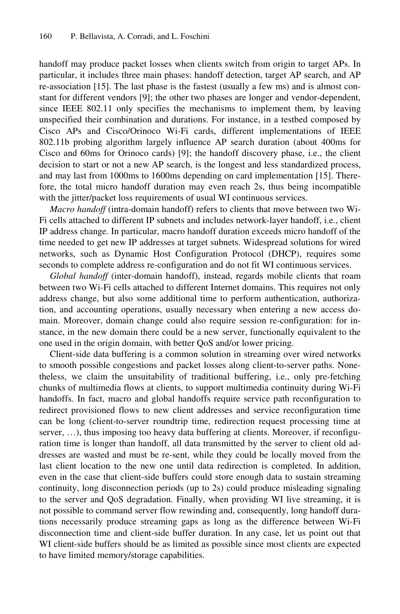handoff may produce packet losses when clients switch from origin to target APs. In particular, it includes three main phases: handoff detection, target AP search, and AP re-association [15]. The last phase is the fastest (usually a few ms) and is almost constant for different vendors [9]; the other two phases are longer and vendor-dependent, since IEEE 802.11 only specifies the mechanisms to implement them, by leaving unspecified their combination and durations. For instance, in a testbed composed by Cisco APs and Cisco/Orinoco Wi-Fi cards, different implementations of IEEE 802.11b probing algorithm largely influence AP search duration (about 400ms for Cisco and 60ms for Orinoco cards) [9]; the handoff discovery phase, i.e., the client decision to start or not a new AP search, is the longest and less standardized process, and may last from 1000ms to 1600ms depending on card implementation [15]. Therefore, the total micro handoff duration may even reach 2s, thus being incompatible with the jitter/packet loss requirements of usual WI continuous services.

*Macro handoff* (intra-domain handoff) refers to clients that move between two Wi-Fi cells attached to different IP subnets and includes network-layer handoff, i.e., client IP address change. In particular, macro handoff duration exceeds micro handoff of the time needed to get new IP addresses at target subnets. Widespread solutions for wired networks, such as Dynamic Host Configuration Protocol (DHCP), requires some seconds to complete address re-configuration and do not fit WI continuous services.

*Global handoff* (inter-domain handoff), instead, regards mobile clients that roam between two Wi-Fi cells attached to different Internet domains. This requires not only address change, but also some additional time to perform authentication, authorization, and accounting operations, usually necessary when entering a new access domain. Moreover, domain change could also require session re-configuration: for instance, in the new domain there could be a new server, functionally equivalent to the one used in the origin domain, with better QoS and/or lower pricing.

Client-side data buffering is a common solution in streaming over wired networks to smooth possible congestions and packet losses along client-to-server paths. Nonetheless, we claim the unsuitability of traditional buffering, i.e., only pre-fetching chunks of multimedia flows at clients, to support multimedia continuity during Wi-Fi handoffs. In fact, macro and global handoffs require service path reconfiguration to redirect provisioned flows to new client addresses and service reconfiguration time can be long (client-to-server roundtrip time, redirection request processing time at server, …), thus imposing too heavy data buffering at clients. Moreover, if reconfiguration time is longer than handoff, all data transmitted by the server to client old addresses are wasted and must be re-sent, while they could be locally moved from the last client location to the new one until data redirection is completed. In addition, even in the case that client-side buffers could store enough data to sustain streaming continuity, long disconnection periods (up to 2s) could produce misleading signaling to the server and QoS degradation. Finally, when providing WI live streaming, it is not possible to command server flow rewinding and, consequently, long handoff durations necessarily produce streaming gaps as long as the difference between Wi-Fi disconnection time and client-side buffer duration. In any case, let us point out that WI client-side buffers should be as limited as possible since most clients are expected to have limited memory/storage capabilities.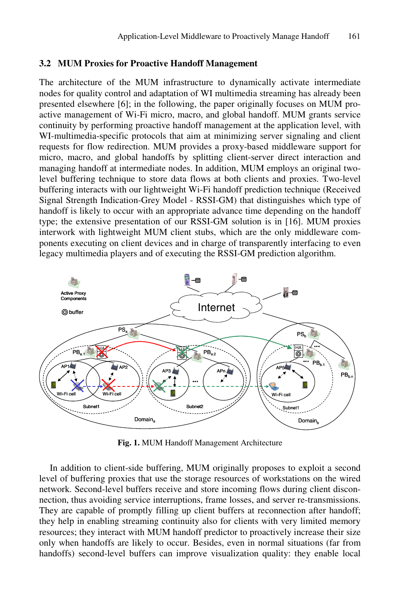### **3.2 MUM Proxies for Proactive Handoff Management**

The architecture of the MUM infrastructure to dynamically activate intermediate nodes for quality control and adaptation of WI multimedia streaming has already been presented elsewhere [6]; in the following, the paper originally focuses on MUM proactive management of Wi-Fi micro, macro, and global handoff. MUM grants service continuity by performing proactive handoff management at the application level, with WI-multimedia-specific protocols that aim at minimizing server signaling and client requests for flow redirection. MUM provides a proxy-based middleware support for micro, macro, and global handoffs by splitting client-server direct interaction and managing handoff at intermediate nodes. In addition, MUM employs an original twolevel buffering technique to store data flows at both clients and proxies. Two-level buffering interacts with our lightweight Wi-Fi handoff prediction technique (Received Signal Strength Indication-Grey Model - RSSI-GM) that distinguishes which type of handoff is likely to occur with an appropriate advance time depending on the handoff type; the extensive presentation of our RSSI-GM solution is in [16]. MUM proxies interwork with lightweight MUM client stubs, which are the only middleware components executing on client devices and in charge of transparently interfacing to even legacy multimedia players and of executing the RSSI-GM prediction algorithm.



**Fig. 1.** MUM Handoff Management Architecture

In addition to client-side buffering, MUM originally proposes to exploit a second level of buffering proxies that use the storage resources of workstations on the wired network. Second-level buffers receive and store incoming flows during client disconnection, thus avoiding service interruptions, frame losses, and server re-transmissions. They are capable of promptly filling up client buffers at reconnection after handoff; they help in enabling streaming continuity also for clients with very limited memory resources; they interact with MUM handoff predictor to proactively increase their size only when handoffs are likely to occur. Besides, even in normal situations (far from handoffs) second-level buffers can improve visualization quality: they enable local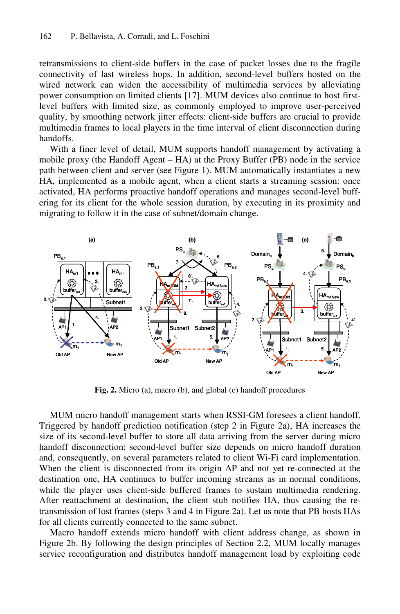retransmissions to client-side buffers in the case of packet losses due to the fragile connectivity of last wireless hops. In addition, second-level buffers hosted on the wired network can widen the accessibility of multimedia services by alleviating power consumption on limited clients [17]. MUM devices also continue to host firstlevel buffers with limited size, as commonly employed to improve user-perceived quality, by smoothing network jitter effects: client-side buffers are crucial to provide multimedia frames to local players in the time interval of client disconnection during handoffs.

With a finer level of detail, MUM supports handoff management by activating a mobile proxy (the Handoff Agent – HA) at the Proxy Buffer (PB) node in the service path between client and server (see Figure 1). MUM automatically instantiates a new HA, implemented as a mobile agent, when a client starts a streaming session: once activated, HA performs proactive handoff operations and manages second-level buffering for its client for the whole session duration, by executing in its proximity and migrating to follow it in the case of subnet/domain change.



**Fig. 2.** Micro (a), macro (b), and global (c) handoff procedures

MUM micro handoff management starts when RSSI-GM foresees a client handoff. Triggered by handoff prediction notification (step 2 in Figure 2a), HA increases the size of its second-level buffer to store all data arriving from the server during micro handoff disconnection; second-level buffer size depends on micro handoff duration and, consequently, on several parameters related to client Wi-Fi card implementation. When the client is disconnected from its origin AP and not yet re-connected at the destination one, HA continues to buffer incoming streams as in normal conditions, while the player uses client-side buffered frames to sustain multimedia rendering. After reattachment at destination, the client stub notifies HA, thus causing the retransmission of lost frames (steps 3 and 4 in Figure 2a). Let us note that PB hosts HAs for all clients currently connected to the same subnet.

Macro handoff extends micro handoff with client address change, as shown in Figure 2b. By following the design principles of Section 2.2, MUM locally manages service reconfiguration and distributes handoff management load by exploiting code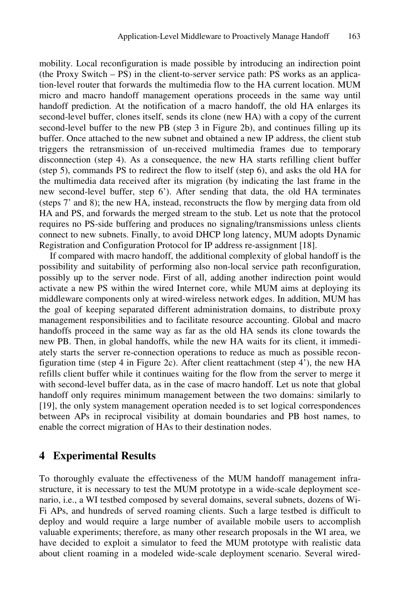mobility. Local reconfiguration is made possible by introducing an indirection point (the Proxy Switch – PS) in the client-to-server service path: PS works as an application-level router that forwards the multimedia flow to the HA current location. MUM micro and macro handoff management operations proceeds in the same way until handoff prediction. At the notification of a macro handoff, the old HA enlarges its second-level buffer, clones itself, sends its clone (new HA) with a copy of the current second-level buffer to the new PB (step 3 in Figure 2b), and continues filling up its buffer. Once attached to the new subnet and obtained a new IP address, the client stub triggers the retransmission of un-received multimedia frames due to temporary disconnection (step 4). As a consequence, the new HA starts refilling client buffer (step 5), commands PS to redirect the flow to itself (step 6), and asks the old HA for the multimedia data received after its migration (by indicating the last frame in the new second-level buffer, step 6'). After sending that data, the old HA terminates (steps 7' and 8); the new HA, instead, reconstructs the flow by merging data from old HA and PS, and forwards the merged stream to the stub. Let us note that the protocol requires no PS-side buffering and produces no signaling/transmissions unless clients connect to new subnets. Finally, to avoid DHCP long latency, MUM adopts Dynamic Registration and Configuration Protocol for IP address re-assignment [18].

If compared with macro handoff, the additional complexity of global handoff is the possibility and suitability of performing also non-local service path reconfiguration, possibly up to the server node. First of all, adding another indirection point would activate a new PS within the wired Internet core, while MUM aims at deploying its middleware components only at wired-wireless network edges. In addition, MUM has the goal of keeping separated different administration domains, to distribute proxy management responsibilities and to facilitate resource accounting. Global and macro handoffs proceed in the same way as far as the old HA sends its clone towards the new PB. Then, in global handoffs, while the new HA waits for its client, it immediately starts the server re-connection operations to reduce as much as possible reconfiguration time (step 4 in Figure 2c). After client reattachment (step 4'), the new HA refills client buffer while it continues waiting for the flow from the server to merge it with second-level buffer data, as in the case of macro handoff. Let us note that global handoff only requires minimum management between the two domains: similarly to [19], the only system management operation needed is to set logical correspondences between APs in reciprocal visibility at domain boundaries and PB host names, to enable the correct migration of HAs to their destination nodes.

## **4 Experimental Results**

To thoroughly evaluate the effectiveness of the MUM handoff management infrastructure, it is necessary to test the MUM prototype in a wide-scale deployment scenario, i.e., a WI testbed composed by several domains, several subnets, dozens of Wi-Fi APs, and hundreds of served roaming clients. Such a large testbed is difficult to deploy and would require a large number of available mobile users to accomplish valuable experiments; therefore, as many other research proposals in the WI area, we have decided to exploit a simulator to feed the MUM prototype with realistic data about client roaming in a modeled wide-scale deployment scenario. Several wired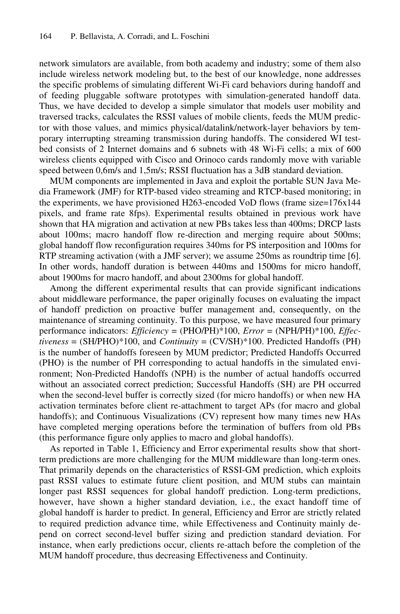network simulators are available, from both academy and industry; some of them also include wireless network modeling but, to the best of our knowledge, none addresses the specific problems of simulating different Wi-Fi card behaviors during handoff and of feeding pluggable software prototypes with simulation-generated handoff data. Thus, we have decided to develop a simple simulator that models user mobility and traversed tracks, calculates the RSSI values of mobile clients, feeds the MUM predictor with those values, and mimics physical/datalink/network-layer behaviors by temporary interrupting streaming transmission during handoffs. The considered WI testbed consists of 2 Internet domains and 6 subnets with 48 Wi-Fi cells; a mix of 600 wireless clients equipped with Cisco and Orinoco cards randomly move with variable speed between 0,6m/s and 1,5m/s; RSSI fluctuation has a 3dB standard deviation.

MUM components are implemented in Java and exploit the portable SUN Java Media Framework (JMF) for RTP-based video streaming and RTCP-based monitoring; in the experiments, we have provisioned H263-encoded VoD flows (frame size=176x144 pixels, and frame rate 8fps). Experimental results obtained in previous work have shown that HA migration and activation at new PBs takes less than 400ms; DRCP lasts about 100ms; macro handoff flow re-direction and merging require about 500ms; global handoff flow reconfiguration requires 340ms for PS interposition and 100ms for RTP streaming activation (with a JMF server); we assume 250ms as roundtrip time [6]. In other words, handoff duration is between 440ms and 1500ms for micro handoff, about 1900ms for macro handoff, and about 2300ms for global handoff.

Among the different experimental results that can provide significant indications about middleware performance, the paper originally focuses on evaluating the impact of handoff prediction on proactive buffer management and, consequently, on the maintenance of streaming continuity. To this purpose, we have measured four primary performance indicators: *Efficiency* = (PHO/PH)\*100, *Error* = (NPH/PH)\*100, *Effectiveness* = (SH/PHO)\*100, and *Continuity* = (CV/SH)\*100. Predicted Handoffs (PH) is the number of handoffs foreseen by MUM predictor; Predicted Handoffs Occurred (PHO) is the number of PH corresponding to actual handoffs in the simulated environment; Non-Predicted Handoffs (NPH) is the number of actual handoffs occurred without an associated correct prediction; Successful Handoffs (SH) are PH occurred when the second-level buffer is correctly sized (for micro handoffs) or when new HA activation terminates before client re-attachment to target APs (for macro and global handoffs); and Continuous Visualizations (CV) represent how many times new HAs have completed merging operations before the termination of buffers from old PBs (this performance figure only applies to macro and global handoffs).

As reported in Table 1, Efficiency and Error experimental results show that shortterm predictions are more challenging for the MUM middleware than long-term ones. That primarily depends on the characteristics of RSSI-GM prediction, which exploits past RSSI values to estimate future client position, and MUM stubs can maintain longer past RSSI sequences for global handoff prediction. Long-term predictions, however, have shown a higher standard deviation, i.e., the exact handoff time of global handoff is harder to predict. In general, Efficiency and Error are strictly related to required prediction advance time, while Effectiveness and Continuity mainly depend on correct second-level buffer sizing and prediction standard deviation. For instance, when early predictions occur, clients re-attach before the completion of the MUM handoff procedure, thus decreasing Effectiveness and Continuity.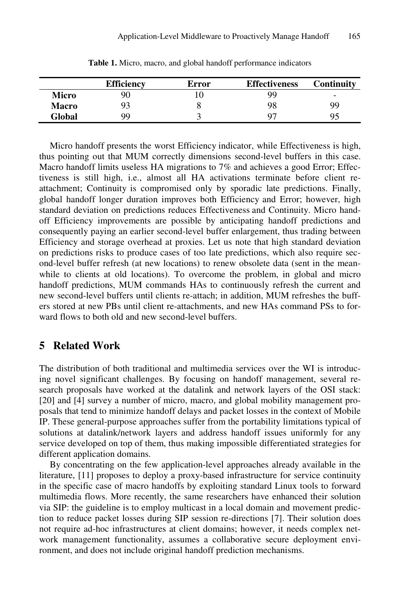|              | <b>Efficiency</b> | Error | <b>Effectiveness</b> | Continuity               |
|--------------|-------------------|-------|----------------------|--------------------------|
| Micro        | 90                |       | 99                   | $\overline{\phantom{a}}$ |
| <b>Macro</b> | 93                |       | 98                   | 99                       |
| Global       | ąq                |       | Q <sub>7</sub>       | ۵s                       |

**Table 1.** Micro, macro, and global handoff performance indicators

Micro handoff presents the worst Efficiency indicator, while Effectiveness is high, thus pointing out that MUM correctly dimensions second-level buffers in this case. Macro handoff limits useless HA migrations to 7% and achieves a good Error; Effectiveness is still high, i.e., almost all HA activations terminate before client reattachment; Continuity is compromised only by sporadic late predictions. Finally, global handoff longer duration improves both Efficiency and Error; however, high standard deviation on predictions reduces Effectiveness and Continuity. Micro handoff Efficiency improvements are possible by anticipating handoff predictions and consequently paying an earlier second-level buffer enlargement, thus trading between Efficiency and storage overhead at proxies. Let us note that high standard deviation on predictions risks to produce cases of too late predictions, which also require second-level buffer refresh (at new locations) to renew obsolete data (sent in the meanwhile to clients at old locations). To overcome the problem, in global and micro handoff predictions, MUM commands HAs to continuously refresh the current and new second-level buffers until clients re-attach; in addition, MUM refreshes the buffers stored at new PBs until client re-attachments, and new HAs command PSs to forward flows to both old and new second-level buffers.

# **5 Related Work**

The distribution of both traditional and multimedia services over the WI is introducing novel significant challenges. By focusing on handoff management, several research proposals have worked at the datalink and network layers of the OSI stack: [20] and [4] survey a number of micro, macro, and global mobility management proposals that tend to minimize handoff delays and packet losses in the context of Mobile IP. These general-purpose approaches suffer from the portability limitations typical of solutions at datalink/network layers and address handoff issues uniformly for any service developed on top of them, thus making impossible differentiated strategies for different application domains.

By concentrating on the few application-level approaches already available in the literature, [11] proposes to deploy a proxy-based infrastructure for service continuity in the specific case of macro handoffs by exploiting standard Linux tools to forward multimedia flows. More recently, the same researchers have enhanced their solution via SIP: the guideline is to employ multicast in a local domain and movement prediction to reduce packet losses during SIP session re-directions [7]. Their solution does not require ad-hoc infrastructures at client domains; however, it needs complex network management functionality, assumes a collaborative secure deployment environment, and does not include original handoff prediction mechanisms.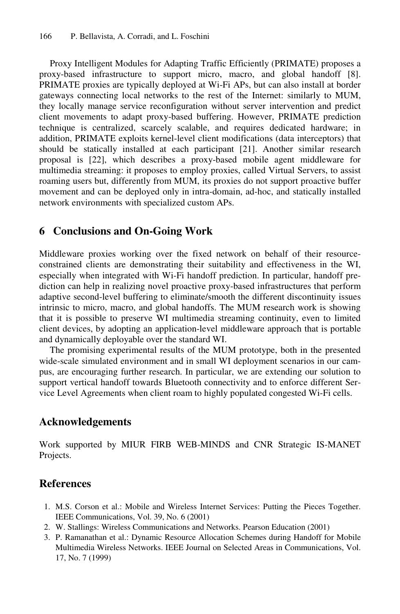Proxy Intelligent Modules for Adapting Traffic Efficiently (PRIMATE) proposes a proxy-based infrastructure to support micro, macro, and global handoff [8]. PRIMATE proxies are typically deployed at Wi-Fi APs, but can also install at border gateways connecting local networks to the rest of the Internet: similarly to MUM, they locally manage service reconfiguration without server intervention and predict client movements to adapt proxy-based buffering. However, PRIMATE prediction technique is centralized, scarcely scalable, and requires dedicated hardware; in addition, PRIMATE exploits kernel-level client modifications (data interceptors) that should be statically installed at each participant [21]. Another similar research proposal is [22], which describes a proxy-based mobile agent middleware for multimedia streaming: it proposes to employ proxies, called Virtual Servers, to assist roaming users but, differently from MUM, its proxies do not support proactive buffer movement and can be deployed only in intra-domain, ad-hoc, and statically installed network environments with specialized custom APs.

# **6 Conclusions and On-Going Work**

Middleware proxies working over the fixed network on behalf of their resourceconstrained clients are demonstrating their suitability and effectiveness in the WI, especially when integrated with Wi-Fi handoff prediction. In particular, handoff prediction can help in realizing novel proactive proxy-based infrastructures that perform adaptive second-level buffering to eliminate/smooth the different discontinuity issues intrinsic to micro, macro, and global handoffs. The MUM research work is showing that it is possible to preserve WI multimedia streaming continuity, even to limited client devices, by adopting an application-level middleware approach that is portable and dynamically deployable over the standard WI.

The promising experimental results of the MUM prototype, both in the presented wide-scale simulated environment and in small WI deployment scenarios in our campus, are encouraging further research. In particular, we are extending our solution to support vertical handoff towards Bluetooth connectivity and to enforce different Service Level Agreements when client roam to highly populated congested Wi-Fi cells.

# **Acknowledgements**

Work supported by MIUR FIRB WEB-MINDS and CNR Strategic IS-MANET Projects.

# **References**

- 1. M.S. Corson et al.: Mobile and Wireless Internet Services: Putting the Pieces Together. IEEE Communications, Vol. 39, No. 6 (2001)
- 2. W. Stallings: Wireless Communications and Networks. Pearson Education (2001)
- 3. P. Ramanathan et al.: Dynamic Resource Allocation Schemes during Handoff for Mobile Multimedia Wireless Networks. IEEE Journal on Selected Areas in Communications, Vol. 17, No. 7 (1999)